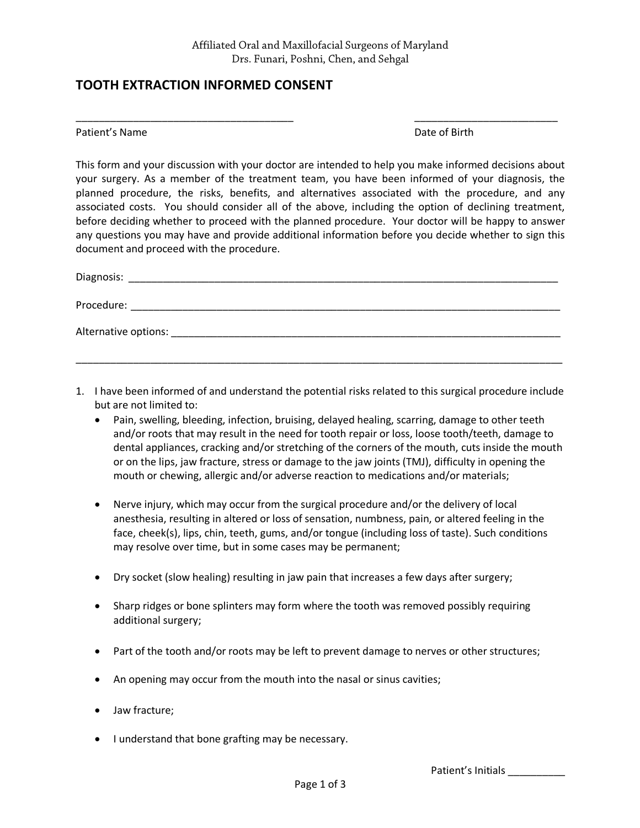\_\_\_\_\_\_\_\_\_\_\_\_\_\_\_\_\_\_\_\_\_\_\_\_\_\_\_\_\_\_\_\_\_\_\_\_\_\_ \_\_\_\_\_\_\_\_\_\_\_\_\_\_\_\_\_\_\_\_\_\_\_\_\_

## **TOOTH EXTRACTION INFORMED CONSENT**

Patient's Name **Date of Birth** 

This form and your discussion with your doctor are intended to help you make informed decisions about your surgery. As a member of the treatment team, you have been informed of your diagnosis, the planned procedure, the risks, benefits, and alternatives associated with the procedure, and any associated costs. You should consider all of the above, including the option of declining treatment, before deciding whether to proceed with the planned procedure. Your doctor will be happy to answer any questions you may have and provide additional information before you decide whether to sign this document and proceed with the procedure.

| Alternative options: |
|----------------------|
|                      |

- 1. I have been informed of and understand the potential risks related to this surgical procedure include but are not limited to:
	- Pain, swelling, bleeding, infection, bruising, delayed healing, scarring, damage to other teeth and/or roots that may result in the need for tooth repair or loss, loose tooth/teeth, damage to dental appliances, cracking and/or stretching of the corners of the mouth, cuts inside the mouth or on the lips, jaw fracture, stress or damage to the jaw joints (TMJ), difficulty in opening the mouth or chewing, allergic and/or adverse reaction to medications and/or materials;
	- Nerve injury, which may occur from the surgical procedure and/or the delivery of local anesthesia, resulting in altered or loss of sensation, numbness, pain, or altered feeling in the face, cheek(s), lips, chin, teeth, gums, and/or tongue (including loss of taste). Such conditions may resolve over time, but in some cases may be permanent;
	- Dry socket (slow healing) resulting in jaw pain that increases a few days after surgery;
	- Sharp ridges or bone splinters may form where the tooth was removed possibly requiring additional surgery;
	- Part of the tooth and/or roots may be left to prevent damage to nerves or other structures;
	- An opening may occur from the mouth into the nasal or sinus cavities;
	- Jaw fracture;
	- I understand that bone grafting may be necessary.

Patient's Initials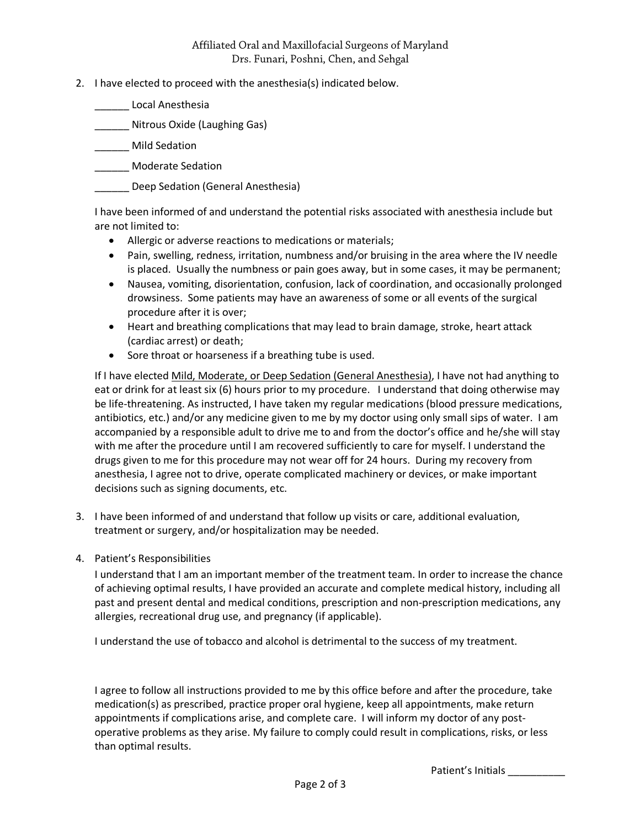- 2. I have elected to proceed with the anesthesia(s) indicated below.
	- \_\_\_\_\_\_ Local Anesthesia
	- \_\_\_\_\_\_ Nitrous Oxide (Laughing Gas)
	- \_\_\_\_\_\_ Mild Sedation
	- \_\_\_\_\_\_ Moderate Sedation
	- Deep Sedation (General Anesthesia)

I have been informed of and understand the potential risks associated with anesthesia include but are not limited to:

- Allergic or adverse reactions to medications or materials;
- Pain, swelling, redness, irritation, numbness and/or bruising in the area where the IV needle is placed. Usually the numbness or pain goes away, but in some cases, it may be permanent;
- Nausea, vomiting, disorientation, confusion, lack of coordination, and occasionally prolonged drowsiness. Some patients may have an awareness of some or all events of the surgical procedure after it is over;
- Heart and breathing complications that may lead to brain damage, stroke, heart attack (cardiac arrest) or death;
- Sore throat or hoarseness if a breathing tube is used.

If I have elected Mild, Moderate, or Deep Sedation (General Anesthesia), I have not had anything to eat or drink for at least six (6) hours prior to my procedure. I understand that doing otherwise may be life-threatening. As instructed, I have taken my regular medications (blood pressure medications, antibiotics, etc.) and/or any medicine given to me by my doctor using only small sips of water. I am accompanied by a responsible adult to drive me to and from the doctor's office and he/she will stay with me after the procedure until I am recovered sufficiently to care for myself. I understand the drugs given to me for this procedure may not wear off for 24 hours. During my recovery from anesthesia, I agree not to drive, operate complicated machinery or devices, or make important decisions such as signing documents, etc.

- 3. I have been informed of and understand that follow up visits or care, additional evaluation, treatment or surgery, and/or hospitalization may be needed.
- 4. Patient's Responsibilities

I understand that I am an important member of the treatment team. In order to increase the chance of achieving optimal results, I have provided an accurate and complete medical history, including all past and present dental and medical conditions, prescription and non-prescription medications, any allergies, recreational drug use, and pregnancy (if applicable).

I understand the use of tobacco and alcohol is detrimental to the success of my treatment.

I agree to follow all instructions provided to me by this office before and after the procedure, take medication(s) as prescribed, practice proper oral hygiene, keep all appointments, make return appointments if complications arise, and complete care. I will inform my doctor of any postoperative problems as they arise. My failure to comply could result in complications, risks, or less than optimal results.

Patient's Initials \_\_\_\_\_\_\_\_\_\_